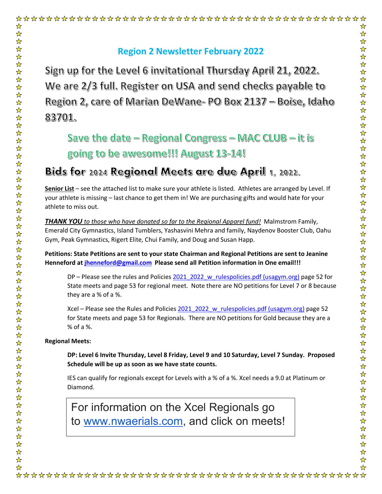Sign up for the Level 6 invitational Thursday April 21, 2022. We are 2/3 full. Register on USA and send checks payable to Region 2, care of Marian DeWane- PO Box 2137 - Boise, Idaho 83701.

Save the date – Regional Congress – MAC CLUB – it is going to be awesome!!! August 13-14!

## <u>Bids for 2024 Regional Meets are due April 1, 2022.</u>

**Senior List** – see the attached list to make sure your athlete is listed. Athletes are arranged by Level. If your athlete is missing – last chance to get them in! We are purchasing gifts and would hate for your athlete to miss out.

*THANK YOU to those who have donated so far to the Regional Apparel fund!* Malmstrom Family, Emerald City Gymnastics, Island Tumblers, Yashasvini Mehra and family, Naydenov Booster Club, Oahu Gym, Peak Gymnastics, Rigert Elite, Chui Family, and Doug and Susan Happ.

**Petitions: State Petitions are sent to your state Chairman and Regional Petitions are sent to Jeanine Henneford at [jhenneford@gmail.com](mailto:jhenneford@gmail.com) Please send all Petition information in One email!!!**

DP – Please see the rules and Policies [2021\\_2022\\_w\\_rulespolicies.pdf \(usagym.org\)](https://usagym.org/PDFs/Women/Rules/Rules%20and%20Policies/2021/2021_2022_w_rulespolicies.pdf) page 52 for State meets and page 53 for regional meet. Note there are NO petitions for Level 7 or 8 because they are a % of a %.

Xcel – Please see the Rules and Policies 2021 2022 w rulespolicies.pdf (usagym.org) page 52 for State meets and page 53 for Regionals. There are NO petitions for Gold because they are a % of a %.

#### **Regional Meets:**

☆

 $\frac{1}{N}$  $\frac{1}{2}$ 

> **DP: Level 6 Invite Thursday, Level 8 Friday, Level 9 and 10 Saturday, Level 7 Sunday. Proposed Schedule will be up as soon as we have state counts.**

IES can qualify for regionals except for Levels with a % of a %. Xcel needs a 9.0 at Platinum or Diamond.

For information on the Xcel Regionals go to [www.nwaerials.com,](http://www.nwaerials.com/) and click on meets!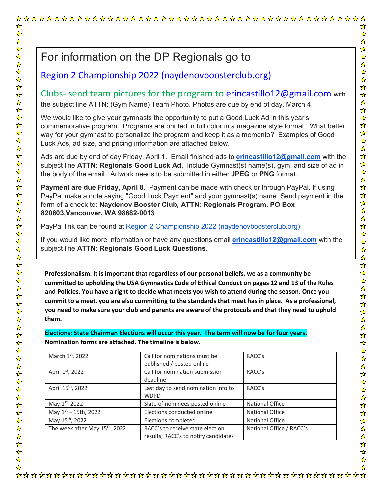# For information on the DP Regionals go to

### [Region 2 Championship 2022 \(naydenovboosterclub.org\)](https://naydenovboosterclub.org/regionalsinfo.php)

Clubs- send team pictures for the program to [erincastillo12@gmail.com](mailto:erincastillo12@gmail.com) with the subject line ATTN: (Gym Name) Team Photo. Photos are due by end of day, March 4.

We would like to give your gymnasts the opportunity to put a Good Luck Ad in this year's commemorative program. Programs are printed in full color in a magazine style format. What better way for your gymnast to personalize the program and keep it as a memento? Examples of Good Luck Ads, ad size, and pricing information are attached below.

Ads are due by end of day Friday, April 1. Email finished ads to **[erincastillo12@gmail.com](mailto:erincastillo12@gmail.com)** with the subject line **ATTN: Regionals Good Luck Ad.** Include Gymnast(s) name(s), gym, and size of ad in the body of the email. Artwork needs to be submitted in either **JPEG** or **PNG** format.

**Payment are due Friday, April 8**. Payment can be made with check or through PayPal. If using PayPal make a note saying "Good Luck Payment" and your gymnast(s) name. Send payment in the form of a check to: **Naydenov Booster Club, ATTN: Regionals Program, PO Box 820603,Vancouver, WA 98682-0013**

PayPal link can be found at [Region 2 Championship 2022 \(naydenovboosterclub.org\)](https://naydenovboosterclub.org/program.php)

If you would like more information or have any questions email **[erincastillo12@gmail.com](mailto:erincastillo12@gmail.com)** with the subject line **ATTN: Regionals Good Luck Questions**.

**Professionalism: It is important that regardless of our personal beliefs, we as a community be committed to upholding the USA Gymnastics Code of Ethical Conduct on pages 12 and 13 of the Rules and Policies. You have a right to decide what meets you wish to attend during the season. Once you commit to a meet, you are also committing to the standards that meet has in place. As a professional, you need to make sure your club and parents are aware of the protocols and that they need to uphold them.** 

**Elections: State Chairman Elections will occur this year. The term will now be for four years. Nomination forms are attached. The timeline is below.**

| March 1st, 2022                            | Call for nominations must be<br>published / posted online                | RACC's                   |
|--------------------------------------------|--------------------------------------------------------------------------|--------------------------|
| April 1st, 2022                            | Call for nomination submission<br>deadline                               | RACC's                   |
| April 15 <sup>th</sup> , 2022              | Last day to send nomination info to<br><b>WDPD</b>                       | RACC's                   |
| May 1st, 2022                              | Slate of nominees posted online                                          | <b>National Office</b>   |
| May 1st - 15th, 2022                       | Elections conducted online                                               | <b>National Office</b>   |
| May 15 <sup>th</sup> , 2022                | Elections completed                                                      | <b>National Office</b>   |
| The week after May 15 <sup>th</sup> , 2022 | RACC's to receive state election<br>results; RACC's to notify candidates | National Office / RACC's |

☆  $\frac{1}{N}$  $\frac{1}{2}$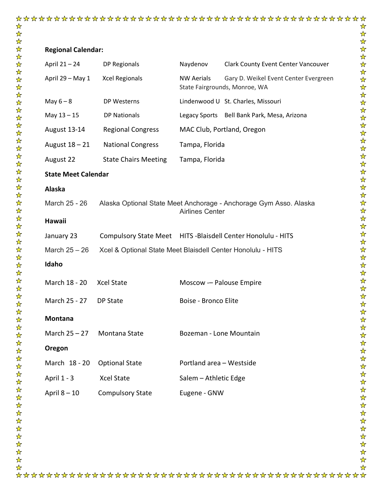#### **Regional Calendar:**

| April 21 - 24              | DP Regionals                                                  | Naydenov                 | <b>Clark County Event Center Vancouver</b>                             |
|----------------------------|---------------------------------------------------------------|--------------------------|------------------------------------------------------------------------|
| April 29 - May 1           | <b>Xcel Regionals</b>                                         | <b>NW Aerials</b>        | Gary D. Weikel Event Center Evergreen<br>State Fairgrounds, Monroe, WA |
| May $6 - 8$                | DP Westerns                                                   |                          | Lindenwood U St. Charles, Missouri                                     |
| May $13 - 15$              | <b>DP Nationals</b>                                           |                          | Legacy Sports Bell Bank Park, Mesa, Arizona                            |
| August 13-14               | <b>Regional Congress</b>                                      |                          | MAC Club, Portland, Oregon                                             |
| August 18 – 21             | <b>National Congress</b>                                      | Tampa, Florida           |                                                                        |
| August 22                  | <b>State Chairs Meeting</b>                                   | Tampa, Florida           |                                                                        |
| <b>State Meet Calendar</b> |                                                               |                          |                                                                        |
| Alaska                     |                                                               |                          |                                                                        |
| March 25 - 26              |                                                               | <b>Airlines Center</b>   | Alaska Optional State Meet Anchorage - Anchorage Gym Asso. Alaska      |
| <b>Hawaii</b>              |                                                               |                          |                                                                        |
| January 23                 | Compulsory State Meet HITS - Blaisdell Center Honolulu - HITS |                          |                                                                        |
| March $25 - 26$            | Xcel & Optional State Meet Blaisdell Center Honolulu - HITS   |                          |                                                                        |
| Idaho                      |                                                               |                          |                                                                        |
| March 18 - 20              | <b>Xcel State</b>                                             | Moscow - Palouse Empire  |                                                                        |
| March 25 - 27              | DP State                                                      | Boise - Bronco Elite     |                                                                        |
| <b>Montana</b>             |                                                               |                          |                                                                        |
| March $25 - 27$            | Montana State                                                 | Bozeman - Lone Mountain  |                                                                        |
| Oregon                     |                                                               |                          |                                                                        |
| March 18 - 20              | <b>Optional State</b>                                         | Portland area - Westside |                                                                        |
| April 1 - 3                | Xcel State                                                    | Salem - Athletic Edge    |                                                                        |
| April $8 - 10$             | <b>Compulsory State</b>                                       | Eugene - GNW             |                                                                        |
|                            |                                                               |                          |                                                                        |